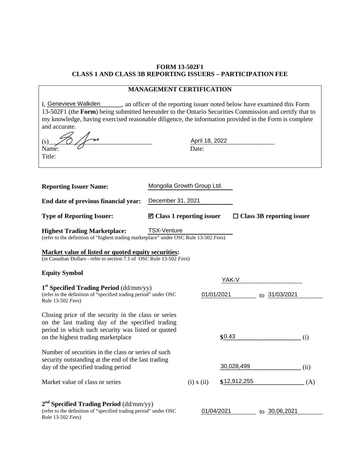# **FORM 13-502F1 CLASS 1 AND CLASS 3B REPORTING ISSUERS – PARTICIPATION FEE**

## **MANAGEMENT CERTIFICATION**

| I. Genevieve Walkden                                                                                  | an officer of the reporting issuer noted below have examined this Form                                 |  |  |
|-------------------------------------------------------------------------------------------------------|--------------------------------------------------------------------------------------------------------|--|--|
|                                                                                                       | 13-502F1 (the Form) being submitted hereunder to the Ontario Securities Commission and certify that to |  |  |
| my knowledge, having exercised reasonable diligence, the information provided in the Form is complete |                                                                                                        |  |  |
| and accurate.                                                                                         |                                                                                                        |  |  |
| (s) $\frac{2}{\sqrt{2}}$                                                                              | April 18, 2022                                                                                         |  |  |
|                                                                                                       |                                                                                                        |  |  |

Mongolia Growth Group Ltd.

| (s         | $-14$<br>April |
|------------|----------------|
| N<br>Name: | ້.             |

**Reporting Issuer Name:**

Title:

| End date of previous financial year: | December 31, 2021 |
|--------------------------------------|-------------------|

| <b>Type of Reporting Issuer:</b> | $\blacksquare$ Class 1 reporting issuer | $\Box$ Class 3B reporting issuer |
|----------------------------------|-----------------------------------------|----------------------------------|
|----------------------------------|-----------------------------------------|----------------------------------|

#### **Highest Trading Marketplace:** (refer to the definition of "highest trading marketplace" under OSC Rule 13-502 *Fees*) TSX-Venture

## **Market value of listed or quoted equity securities:**

(in Canadian Dollars - refer to section 7.1 of OSC Rule 13-502 *Fees*)

## **Equity Symbol**

|                                                                                                                                                                                                      |                | YAK-V        |                  |      |
|------------------------------------------------------------------------------------------------------------------------------------------------------------------------------------------------------|----------------|--------------|------------------|------|
| $1st$ Specified Trading Period (dd/mm/yy)<br>(refer to the definition of "specified trading period" under OSC<br>Rule 13-502 <i>Fees</i> )                                                           |                | 01/01/2021   | to 31/03/2021    |      |
| Closing price of the security in the class or series<br>on the last trading day of the specified trading<br>period in which such security was listed or quoted<br>on the highest trading marketplace |                | \$0.43       |                  | (i)  |
| Number of securities in the class or series of such<br>security outstanding at the end of the last trading<br>day of the specified trading period                                                    |                | 30,028,499   |                  | (ii) |
| Market value of class or series                                                                                                                                                                      | $(i)$ x $(ii)$ | \$12,912,255 |                  | (A)  |
| $2nd$ Specified Trading Period (dd/mm/yy)<br>(refer to the definition of "specified trading period" under OSC<br>Rule 13-502 <i>Fees</i> )                                                           |                | 01/04/2021   | 30,06,2021<br>to |      |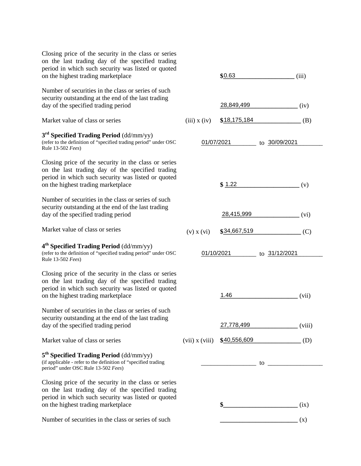| Closing price of the security in the class or series<br>on the last trading day of the specified trading<br>period in which such security was listed or quoted<br>on the highest trading marketplace |                    | \$0.63       | (iii)                                                                                                                                                                                                                          |
|------------------------------------------------------------------------------------------------------------------------------------------------------------------------------------------------------|--------------------|--------------|--------------------------------------------------------------------------------------------------------------------------------------------------------------------------------------------------------------------------------|
| Number of securities in the class or series of such<br>security outstanding at the end of the last trading<br>day of the specified trading period                                                    |                    | 28,849,499   | (iv)                                                                                                                                                                                                                           |
| Market value of class or series                                                                                                                                                                      | $(iii)$ x $(iv)$   | \$18,175,184 | (B)                                                                                                                                                                                                                            |
| $3rd$ Specified Trading Period (dd/mm/yy)<br>(refer to the definition of "specified trading period" under OSC<br>Rule 13-502 <i>Fees</i> )                                                           |                    | 01/07/2021   | to 30/09/2021                                                                                                                                                                                                                  |
| Closing price of the security in the class or series<br>on the last trading day of the specified trading<br>period in which such security was listed or quoted<br>on the highest trading marketplace |                    | \$1.22       | (v)                                                                                                                                                                                                                            |
| Number of securities in the class or series of such<br>security outstanding at the end of the last trading<br>day of the specified trading period                                                    |                    | 28,415,999   | (vi)                                                                                                                                                                                                                           |
| Market value of class or series                                                                                                                                                                      | $(v)$ x $(vi)$     | \$34,667,519 | (C)                                                                                                                                                                                                                            |
| 4 <sup>th</sup> Specified Trading Period (dd/mm/yy)<br>(refer to the definition of "specified trading period" under OSC<br>Rule 13-502 Fees)                                                         |                    | 01/10/2021   | to 31/12/2021                                                                                                                                                                                                                  |
| Closing price of the security in the class or series<br>on the last trading day of the specified trading<br>period in which such security was listed or quoted<br>on the highest trading marketplace |                    | 1.46         | (vii)                                                                                                                                                                                                                          |
| Number of securities in the class or series of such<br>security outstanding at the end of the last trading<br>day of the specified trading period                                                    |                    | 27,778,499   | (viii)                                                                                                                                                                                                                         |
| Market value of class or series                                                                                                                                                                      | $(vii)$ x $(viii)$ | \$40,556,609 | (D)                                                                                                                                                                                                                            |
| $5th$ Specified Trading Period (dd/mm/yy)<br>(if applicable - refer to the definition of "specified trading<br>period" under OSC Rule 13-502 Fees)                                                   |                    |              | to the contract of the contract of the contract of the contract of the contract of the contract of the contract of the contract of the contract of the contract of the contract of the contract of the contract of the contrac |
| Closing price of the security in the class or series<br>on the last trading day of the specified trading<br>period in which such security was listed or quoted<br>on the highest trading marketplace |                    | \$           | (ix)                                                                                                                                                                                                                           |
| Number of securities in the class or series of such                                                                                                                                                  |                    |              | (x)                                                                                                                                                                                                                            |